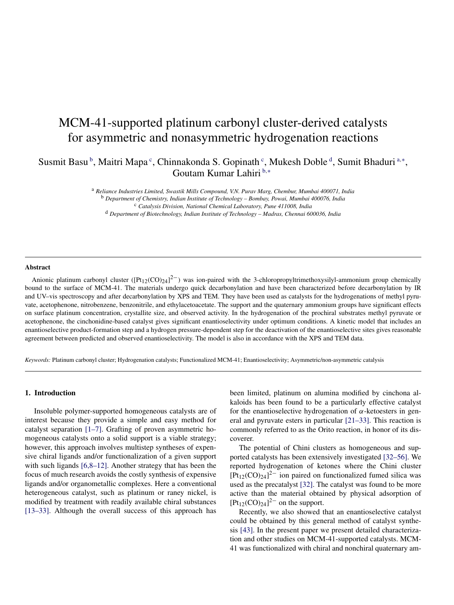# MCM-41-supported platinum carbonyl cluster-derived catalysts for asymmetric and nonasymmetric hydrogenation reactions

Susmit Basu<sup>b</sup>, Maitri Mapa<sup>c</sup>, Chinnakonda S. Gopinath<sup>c</sup>, Mukesh Doble<sup>d</sup>, Sumit Bhaduri<sup>a,\*</sup>, Goutam Kumar Lahiri <sup>b</sup>*,*<sup>∗</sup>

> <sup>a</sup> *Reliance Industries Limited, Swastik Mills Compound, V.N. Purav Marg, Chembur, Mumbai 400071, India* <sup>b</sup> *Department of Chemistry, Indian Institute of Technology – Bombay, Powai, Mumbai 400076, India*

<sup>c</sup> *Catalysis Division, National Chemical Laboratory, Pune 411008, India* <sup>d</sup> *Department of Biotechnology, Indian Institute of Technology – Madras, Chennai 600036, India*

#### **Abstract**

Anionic platinum carbonyl cluster ( $[Pt_{12}(CO)_{24}]^{2-}$ ) was ion-paired with the 3-chloropropyltrimethoxysilyl-ammonium group chemically bound to the surface of MCM-41. The materials undergo quick decarbonylation and have been characterized before decarbonylation by IR and UV–vis spectroscopy and after decarbonylation by XPS and TEM. They have been used as catalysts for the hydrogenations of methyl pyruvate, acetophenone, nitrobenzene, benzonitrile, and ethylacetoacetate. The support and the quaternary ammonium groups have significant effects on surface platinum concentration, crystallite size, and observed activity. In the hydrogenation of the prochiral substrates methyl pyruvate or acetophenone, the cinchonidine-based catalyst gives significant enantioselectivity under optimum conditions. A kinetic model that includes an enantioselective product-formation step and a hydrogen pressure-dependent step for the deactivation of the enantioselective sites gives reasonable agreement between predicted and observed enantioselectivity. The model is also in accordance with the XPS and TEM data.

*Keywords:* Platinum carbonyl cluster; Hydrogenation catalysts; Functionalized MCM-41; Enantioselectivity; Asymmetric/non-asymmetric catalysis

#### **1. Introduction**

Insoluble polymer-supported homogeneous catalysts are of interest because they provide a simple and easy method for catalyst separation [\[1–7\].](#page-7-0) Grafting of proven asymmetric homogeneous catalysts onto a solid support is a viable strategy; however, this approach involves multistep syntheses of expensive chiral ligands and/or functionalization of a given support with such ligands [\[6,8–12\].](#page-7-0) Another strategy that has been the focus of much research avoids the costly synthesis of expensive ligands and/or organometallic complexes. Here a conventional heterogeneous catalyst, such as platinum or raney nickel, is modified by treatment with readily available chiral substances [\[13–33\].](#page-7-0) Although the overall success of this approach has been limited, platinum on alumina modified by cinchona alkaloids has been found to be a particularly effective catalyst for the enantioselective hydrogenation of  $\alpha$ -ketoesters in general and pyruvate esters in particular [\[21–33\].](#page-7-0) This reaction is commonly referred to as the Orito reaction, in honor of its discoverer.

The potential of Chini clusters as homogeneous and supported catalysts has been extensively investigated [\[32–56\].](#page-7-0) We reported hydrogenation of ketones where the Chini cluster  $[Pt_{12}(CO)_{24}]^2$  ion paired on functionalized fumed silica was used as the precatalyst [\[32\].](#page-7-0) The catalyst was found to be more active than the material obtained by physical adsorption of  $[Pt_{12}(CO)_{24}]^{2-}$  on the support.

Recently, we also showed that an enantioselective catalyst could be obtained by this general method of catalyst synthesis [\[43\].](#page-7-0) In the present paper we present detailed characterization and other studies on MCM-41-supported catalysts. MCM-41 was functionalized with chiral and nonchiral quaternary am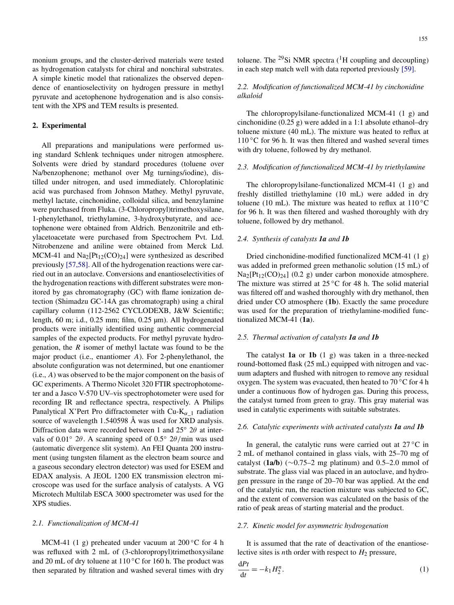<span id="page-1-0"></span>monium groups, and the cluster-derived materials were tested as hydrogenation catalysts for chiral and nonchiral substrates. A simple kinetic model that rationalizes the observed dependence of enantioselectivity on hydrogen pressure in methyl pyruvate and acetophenone hydrogenation and is also consistent with the XPS and TEM results is presented.

# **2. Experimental**

All preparations and manipulations were performed using standard Schlenk techniques under nitrogen atmosphere. Solvents were dried by standard procedures (toluene over Na/benzophenone; methanol over Mg turnings/iodine), distilled under nitrogen, and used immediately. Chloroplatinic acid was purchased from Johnson Mathey. Methyl pyruvate, methyl lactate, cinchonidine, colloidal silica, and benzylamine were purchased from Fluka. (3-Chloropropyl)trimethoxysilane, 1-phenylethanol, triethylamine, 3-hydroxybutyrate, and acetophenone were obtained from Aldrich. Benzonitrile and ethylacetoacetate were purchased from Spectrochem Pvt. Ltd. Nitrobenzene and aniline were obtained from Merck Ltd. MCM-41 and  $Na_2[Pt_{12}(CO)_{24}]$  were synthesized as described previously [\[57,58\].](#page-7-0) All of the hydrogenation reactions were carried out in an autoclave. Conversions and enantioselectivities of the hydrogenation reactions with different substrates were monitored by gas chromatography (GC) with flame ionization detection (Shimadzu GC-14A gas chromatograph) using a chiral capillary column (112-2562 CYCLODEXB, J&W Scientific; length, 60 m; i.d., 0.25 mm; film, 0.25 µm). All hydrogenated products were initially identified using authentic commercial samples of the expected products. For methyl pyruvate hydrogenation, the *R* isomer of methyl lactate was found to be the major product (i.e., enantiomer *A*). For 2-phenylethanol, the absolute configuration was not determined, but one enantiomer (i.e., *A*) was observed to be the major component on the basis of GC experiments. A Thermo Nicolet 320 FTIR spectrophotometer and a Jasco V-570 UV–vis spectrophotometer were used for recording IR and reflectance spectra, respectively. A Philips Panalytical X'Pert Pro diffractometer with Cu-K*α*\_1 radiation source of wavelength 1.540598 Å was used for XRD analysis. Diffraction data were recorded between 1 and 25◦ 2*θ* at intervals of 0.01◦ 2*θ* . A scanning speed of 0.5◦ 2*θ/*min was used (automatic divergence slit system). An FEI Quanta 200 instrument (using tungsten filament as the electron beam source and a gaseous secondary electron detector) was used for ESEM and EDAX analysis. A JEOL 1200 EX transmission electron microscope was used for the surface analysis of catalysts. A VG Microtech Multilab ESCA 3000 spectrometer was used for the XPS studies.

## *2.1. Functionalization of MCM-41*

MCM-41 (1 g) preheated under vacuum at 200 $\degree$ C for 4 h was refluxed with 2 mL of (3-chloropropyl)trimethoxysilane and 20 mL of dry toluene at 110 ◦C for 160 h. The product was then separated by filtration and washed several times with dry

# *2.2. Modification of functionalized MCM-41 by cinchonidine alkaloid*

The chloropropylsilane-functionalized MCM-41 (1 g) and cinchonidine (0.25 g) were added in a 1:1 absolute ethanol–dry toluene mixture (40 mL). The mixture was heated to reflux at  $110\degree$ C for 96 h. It was then filtered and washed several times with dry toluene, followed by dry methanol.

## *2.3. Modification of functionalized MCM-41 by triethylamine*

The chloropropylsilane-functionalized MCM-41 (1 g) and freshly distilled triethylamine (10 mL) were added in dry toluene (10 mL). The mixture was heated to reflux at  $110\,^{\circ}\text{C}$ for 96 h. It was then filtered and washed thoroughly with dry toluene, followed by dry methanol.

#### *2.4. Synthesis of catalysts 1a and 1b*

Dried cinchonidine-modified functionalized MCM-41 (1 g) was added in preformed green methanolic solution (15 mL) of  $Na_2[Pt_{12}(CO)_{24}]$  (0.2 g) under carbon monoxide atmosphere. The mixture was stirred at  $25^{\circ}$ C for 48 h. The solid material was filtered off and washed thoroughly with dry methanol, then dried under CO atmosphere (**1b**). Exactly the same procedure was used for the preparation of triethylamine-modified functionalized MCM-41 (**1a**).

# *2.5. Thermal activation of catalysts 1a and 1b*

The catalyst **1a** or **1b** (1 g) was taken in a three-necked round-bottomed flask (25 mL) equipped with nitrogen and vacuum adapters and flushed with nitrogen to remove any residual oxygen. The system was evacuated, then heated to 70 ◦C for 4 h under a continuous flow of hydrogen gas. During this process, the catalyst turned from green to gray. This gray material was used in catalytic experiments with suitable substrates.

#### *2.6. Catalytic experiments with activated catalysts 1a and 1b*

In general, the catalytic runs were carried out at  $27^{\circ}$ C in 2 mL of methanol contained in glass vials, with 25–70 mg of catalyst ( $1a/b$ ) ( $\sim$ 0.75–2 mg platinum) and 0.5–2.0 mmol of substrate. The glass vial was placed in an autoclave, and hydrogen pressure in the range of 20–70 bar was applied. At the end of the catalytic run, the reaction mixture was subjected to GC, and the extent of conversion was calculated on the basis of the ratio of peak areas of starting material and the product.

#### *2.7. Kinetic model for asymmetric hydrogenation*

d*Pt*

It is assumed that the rate of deactivation of the enantioselective sites is *n*th order with respect to  $H_2$  pressure,

$$
\frac{\mathrm{d}Pt}{\mathrm{d}t} = -k_1 H_2^n. \tag{1}
$$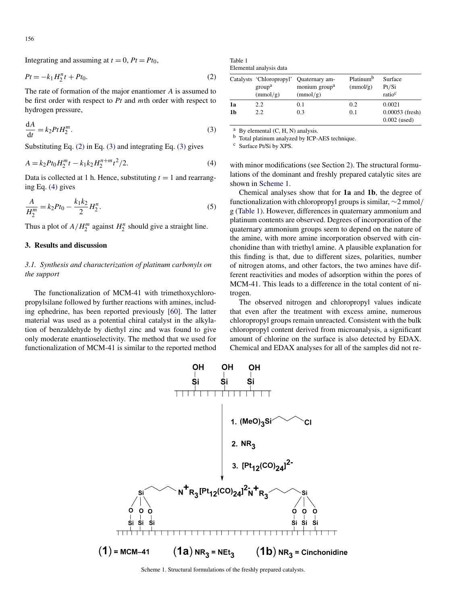<span id="page-2-0"></span>Integrating and assuming at  $t = 0$ ,  $Pt = Pt_0$ ,

$$
Pt = -k_1 H_2^n t + Pt_0. \tag{2}
$$

The rate of formation of the major enantiomer *A* is assumed to be first order with respect to *Pt* and *m*th order with respect to hydrogen pressure,

$$
\frac{\mathrm{d}A}{\mathrm{d}t} = k_2 P t H_2^m. \tag{3}
$$

Substituting Eq. (2) in Eq. (3) and integrating Eq. (3) gives

$$
A = k_2 P t_0 H_2^m t - k_1 k_2 H_2^{n+m} t^2 / 2.
$$
 (4)

Data is collected at 1 h. Hence, substituting  $t = 1$  and rearranging Eq. (4) gives

$$
\frac{A}{H_2^m} = k_2 P t_0 - \frac{k_1 k_2}{2} H_2^n.
$$
\n(5)

Thus a plot of  $A/H_2^m$  against  $H_2^n$  should give a straight line.

# **3. Results and discussion**

# *3.1. Synthesis and characterization of platinum carbonyls on the support*

The functionalization of MCM-41 with trimethoxychloropropylsilane followed by further reactions with amines, including ephedrine, has been reported previously [\[60\].](#page-7-0) The latter material was used as a potential chiral catalyst in the alkylation of benzaldehyde by diethyl zinc and was found to give only moderate enantioselectivity. The method that we used for functionalization of MCM-41 is similar to the reported method

Table 1 Elemental analysis data

|    | Catalysts 'Chloropropyl'<br>group <sup>a</sup><br>(mmol/g) | Quaternary am-<br>monium group <sup>a</sup><br>(mmol/g) | Platinum <sup>b</sup><br>(mmol/g) | Surface<br>Pt/Si<br>ratio <sup>c</sup> |
|----|------------------------------------------------------------|---------------------------------------------------------|-----------------------------------|----------------------------------------|
| 1a | 2.2                                                        | 0.1                                                     | 0.2                               | 0.0021                                 |
| 1b | 2.2                                                        | 0.3                                                     | 0.1                               | $0.00053$ (fresh)<br>$0.002$ (used)    |

 $a$  By elemental  $(C, H, N)$  analysis.

b Total platinum analyzed by ICP-AES technique.

<sup>c</sup> Surface Pt/Si by XPS.

with minor modifications (see Section [2\)](#page-1-0). The structural formulations of the dominant and freshly prepared catalytic sites are shown in Scheme 1.

Chemical analyses show that for **1a** and **1b**, the degree of functionalization with chloropropyl groups is similar, ∼2 mmol*/* g (Table 1). However, differences in quaternary ammonium and platinum contents are observed. Degrees of incorporation of the quaternary ammonium groups seem to depend on the nature of the amine, with more amine incorporation observed with cinchonidine than with triethyl amine. A plausible explanation for this finding is that, due to different sizes, polarities, number of nitrogen atoms, and other factors, the two amines have different reactivities and modes of adsorption within the pores of MCM-41. This leads to a difference in the total content of nitrogen.

The observed nitrogen and chloropropyl values indicate that even after the treatment with excess amine, numerous chloropropyl groups remain unreacted. Consistent with the bulk chloropropyl content derived from microanalysis, a significant amount of chlorine on the surface is also detected by EDAX. Chemical and EDAX analyses for all of the samples did not re-



Scheme 1. Structural formulations of the freshly prepared catalysts.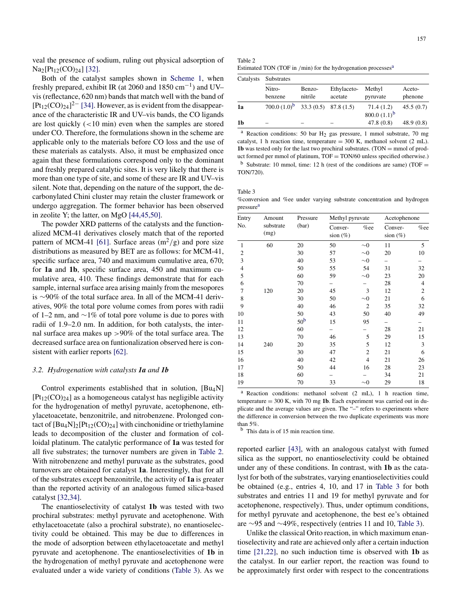<span id="page-3-0"></span>veal the presence of sodium, ruling out physical adsorption of  $Na<sub>2</sub>[Pt<sub>12</sub>(CO)<sub>24</sub>] [32].$  $Na<sub>2</sub>[Pt<sub>12</sub>(CO)<sub>24</sub>] [32].$ 

Both of the catalyst samples shown in [Scheme 1,](#page-2-0) when freshly prepared, exhibit IR (at 2060 and 1850 cm<sup>-1</sup>) and UV– vis (reflectance, 620 nm) bands that match well with the band of  $[Pt_{12}(CO)_{24}]^{2-}$  [\[34\].](#page-7-0) However, as is evident from the disappearance of the characteristic IR and UV–vis bands, the CO ligands are lost quickly (*<*10 min) even when the samples are stored under CO. Therefore, the formulations shown in the scheme are applicable only to the materials before CO loss and the use of these materials as catalysts. Also, it must be emphasized once again that these formulations correspond only to the dominant and freshly prepared catalytic sites. It is very likely that there is more than one type of site, and some of these are IR and UV–vis silent. Note that, depending on the nature of the support, the decarbonylated Chini cluster may retain the cluster framework or undergo aggregation. The former behavior has been observed in zeolite Y; the latter, on MgO [\[44,45,50\].](#page-7-0)

The powder XRD patterns of the catalysts and the functionalized MCM-41 derivatives closely match that of the reported pattern of MCM-41 [\[61\].](#page-7-0) Surface areas  $(m^2/g)$  and pore size distributions as measured by BET are as follows: for MCM-41, specific surface area, 740 and maximum cumulative area, 670; for **1a** and **1b**, specific surface area, 450 and maximum cumulative area, 410. These findings demonstrate that for each sample, internal surface area arising mainly from the mesopores is ∼90% of the total surface area. In all of the MCM-41 derivatives, 90% the total pore volume comes from pores with radii of 1–2 nm, and ∼1% of total pore volume is due to pores with radii of 1.9–2.0 nm. In addition, for both catalysts, the internal surface area makes up *>*90% of the total surface area. The decreased surface area on funtionalization observed here is consistent with earlier reports [\[62\].](#page-7-0)

#### *3.2. Hydrogenation with catalysts 1a and 1b*

Control experiments established that in solution, [Bu4N]  $[Pt_{12}(CO)_{24}]$  as a homogeneous catalyst has negligible activity for the hydrogenation of methyl pyruvate, acetophenone, ethylacetoacetate, benzonitrile, and nitrobenzene. Prolonged contact of  $[Bu_4N]_2[Pt_{12}(CO)_{24}]$  with cinchonidine or triethylamine leads to decomposition of the cluster and formation of colloidal platinum. The catalytic performance of **1a** was tested for all five substrates; the turnover numbers are given in Table 2. With nitrobenzene and methyl puruvate as the substrates, good turnovers are obtained for catalyst **1a**. Interestingly, that for all of the substrates except benzonitrile, the activity of **1a** is greater than the reported activity of an analogous fumed silica-based catalyst [\[32,34\].](#page-7-0)

The enantioselectivity of catalyst **1b** was tested with two prochiral substrates: methyl pyruvate and acetophenone. With ethylacetoacetate (also a prochiral substrate), no enantioselectivity could be obtained. This may be due to differences in the mode of adsorption between ethylacetoacetate and methyl pyruvate and acetophenone. The enantioselectivities of **1b** in the hydrogenation of methyl pyruvate and acetophenone were evaluated under a wide variety of conditions (Table 3). As we

| Table 2                                                                  |
|--------------------------------------------------------------------------|
| Estimated TON (TOF in /min) for the hydrogenation processes <sup>a</sup> |

| Catalysts<br>1a | <b>Substrates</b>                         |                   |                        |                              |                   |  |  |
|-----------------|-------------------------------------------|-------------------|------------------------|------------------------------|-------------------|--|--|
|                 | Nitro-<br>benzene                         | Benzo-<br>nitrile | Ethylaceto-<br>acetate | Methyl<br>pyruvate           | Aceto-<br>phenone |  |  |
|                 | 700.0 $(1.0)^b$ 33.3 $(0.5)$ 87.8 $(1.5)$ |                   |                        | 71.4(1.2)<br>800.0 $(1.1)^b$ | 45.5(0.7)         |  |  |
| 1b              |                                           |                   |                        | 47.8(0.8)                    | 48.9(0.8)         |  |  |

<sup>a</sup> Reaction conditions: 50 bar  $H_2$  gas pressure, 1 mmol substrate, 70 mg catalyst, 1 h reaction time, temperature  $= 300$  K, methanol solvent (2 mL). **1b** was tested only for the last two prochiral substrates. (TON  $=$  mmol of product formed per mmol of platinum, TOF = TON/60 unless specified otherwise.) <sup>b</sup> Substrate: 10 mmol, time: 12 h (rest of the conditions are same) (TOF = TON/720).

Table 3

%conversion and %ee under varying substrate concentration and hydrogen pressure<sup>a</sup>

| Entry<br>No.   | Amount            | Pressure        |                        | Methyl pyruvate |                        | Acetophenone   |  |
|----------------|-------------------|-----------------|------------------------|-----------------|------------------------|----------------|--|
|                | substrate<br>(mg) | (bar)           | Conver-<br>sion $(\%)$ | %ee             | Conver-<br>sion $(\%)$ | %ee            |  |
| $\mathbf{1}$   | 60                | 20              | 50                     | $\sim 0$        | 11                     | 5              |  |
| $\mathfrak{2}$ |                   | 30              | 57                     | $\sim\!\!0$     | 20                     | 10             |  |
| $\mathfrak{Z}$ |                   | 40              | 53                     | $\sim\!\!0$     |                        |                |  |
| $\overline{4}$ |                   | 50              | 55                     | 54              | 31                     | 32             |  |
| 5              |                   | 60              | 59                     | $\sim\!\!0$     | 23                     | 20             |  |
| 6              |                   | 70              |                        |                 | 28                     | $\overline{4}$ |  |
| 7              | 120               | 20              | 45                     | 3               | 12                     | $\overline{2}$ |  |
| 8              |                   | 30              | 50                     | $\sim\!\!0$     | 21                     | 6              |  |
| 9              |                   | 40              | 46                     | $\overline{2}$  | 35                     | 32             |  |
| 10             |                   | 50              | 43                     | 50              | 40                     | 49             |  |
| 11             |                   | 50 <sup>b</sup> | 15                     | 95              |                        |                |  |
| 12             |                   | 60              |                        |                 | 28                     | 21             |  |
| 13             |                   | 70              | 46                     | 5               | 29                     | 15             |  |
| 14             | 240               | 20              | 35                     | 5               | 12                     | 3              |  |
| 15             |                   | 30              | 47                     | $\mathfrak{2}$  | 21                     | 6              |  |
| 16             |                   | 40              | 42                     | $\overline{4}$  | 21                     | 26             |  |
| 17             |                   | 50              | 44                     | 16              | 28                     | 23             |  |
| 18             |                   | 60              |                        |                 | 34                     | 21             |  |
| 19             |                   | 70              | 33                     | $\sim 0$        | 29                     | 18             |  |

<sup>a</sup> Reaction conditions: methanol solvent (2 mL), 1 h reaction time, temperature = 300 K, with 70 mg **1b**. Each experiment was carried out in duplicate and the average values are given. The "–" refers to experiments where the difference in conversion between the two duplicate experiments was more than 5%.

<sup>b</sup> This data is of 15 min reaction time.

reported earlier [\[43\],](#page-7-0) with an analogous catalyst with fumed silica as the support, no enantioselectivity could be obtained under any of these conditions. In contrast, with **1b** as the catalyst for both of the substrates, varying enantioselectivities could be obtained (e.g., entries 4, 10, and 17 in Table 3 for both substrates and entries 11 and 19 for methyl pyruvate and for acetophenone, respectively). Thus, under optimum conditions, for methyl pyruvate and acetophenone, the best ee's obtained are ∼95 and ∼49%, respectively (entries 11 and 10, Table 3).

Unlike the classical Orito reaction, in which maximum enantioselectivity and rate are achieved only after a certain induction time [\[21,22\],](#page-7-0) no such induction time is observed with **1b** as the catalyst. In our earlier report, the reaction was found to be approximately first order with respect to the concentrations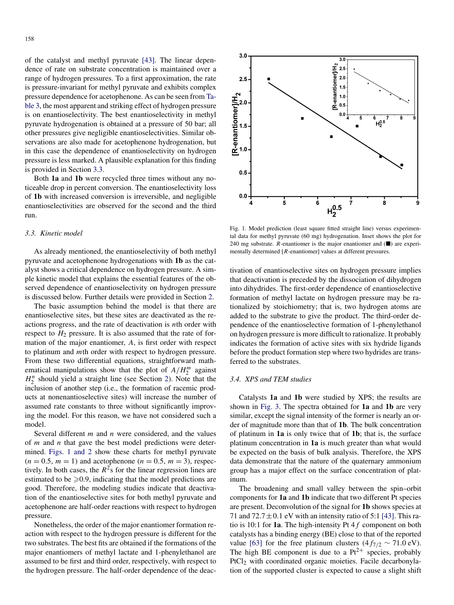of the catalyst and methyl pyruvate [\[43\].](#page-7-0) The linear dependence of rate on substrate concentration is maintained over a range of hydrogen pressures. To a first approximation, the rate is pressure-invariant for methyl pyruvate and exhibits complex pressure dependence for acetophenone. As can be seen from [Ta](#page-3-0)[ble 3,](#page-3-0) the most apparent and striking effect of hydrogen pressure is on enantioselectivity. The best enantioselectivity in methyl pyruvate hydrogenation is obtained at a pressure of 50 bar; all other pressures give negligible enantioselectivities. Similar observations are also made for acetophenone hydrogenation, but in this case the dependence of enantioselectivity on hydrogen pressure is less marked. A plausible explanation for this finding is provided in Section 3.3.

Both **1a** and **1b** were recycled three times without any noticeable drop in percent conversion. The enantioselectivity loss of **1b** with increased conversion is irreversible, and negligible enantioselectivities are observed for the second and the third run.

#### *3.3. Kinetic model*

As already mentioned, the enantioselectivity of both methyl pyruvate and acetophenone hydrogenations with **1b** as the catalyst shows a critical dependence on hydrogen pressure. A simple kinetic model that explains the essential features of the observed dependence of enantioselectivity on hydrogen pressure is discussed below. Further details were provided in Section [2.](#page-1-0)

The basic assumption behind the model is that there are enantioselective sites, but these sites are deactivated as the reactions progress, and the rate of deactivation is *n*th order with respect to  $H_2$  pressure. It is also assumed that the rate of formation of the major enantiomer, *A*, is first order with respect to platinum and *m*th order with respect to hydrogen pressure. From these two differential equations, straightforward mathematical manipulations show that the plot of  $A/H_2^m$  against  $H_2^n$  should yield a straight line (see Section [2\)](#page-1-0). Note that the inclusion of another step (i.e., the formation of racemic products at nonenantioselective sites) will increase the number of assumed rate constants to three without significantly improving the model. For this reason, we have not considered such a model.

Several different *m* and *n* were considered, and the values of *m* and *n* that gave the best model predictions were determined. Figs. 1 and 2 show these charts for methyl pyruvate  $(n = 0.5, m = 1)$  and acetophenone  $(n = 0.5, m = 3)$ , respectively. In both cases, the  $R^2$ s for the linear regression lines are estimated to be  $\geq 0.9$ , indicating that the model predictions are good. Therefore, the modeling studies indicate that deactivation of the enantioselective sites for both methyl pyruvate and acetophenone are half-order reactions with respect to hydrogen pressure.

Nonetheless, the order of the major enantiomer formation reaction with respect to the hydrogen pressure is different for the two substrates. The best fits are obtained if the formations of the major enantiomers of methyl lactate and 1-phenylethanol are assumed to be first and third order, respectively, with respect to the hydrogen pressure. The half-order dependence of the deac-



Fig. 1. Model prediction (least square fitted straight line) versus experimental data for methyl pyruvate (60 mg) hydrogenation. Inset shows the plot for 240 mg substrate. *R*-enantiomer is the major enantiomer and  $(\blacksquare)$  are experimentally determined [*R*-enantiomer] values at different pressures.

tivation of enantioselective sites on hydrogen pressure implies that deactivation is preceded by the dissociation of dihydrogen into dihydrides. The first-order dependence of enantioselective formation of methyl lactate on hydrogen pressure may be rationalized by stoichiometry; that is, two hydrogen atoms are added to the substrate to give the product. The third-order dependence of the enantioselective formation of 1-phenylethanol on hydrogen pressure is more difficult to rationalize. It probably indicates the formation of active sites with six hydride ligands before the product formation step where two hydrides are transferred to the substrates.

# *3.4. XPS and TEM studies*

Catalysts **1a** and **1b** were studied by XPS; the results are shown in [Fig. 3.](#page-5-0) The spectra obtained for **1a** and **1b** are very similar, except the signal intensity of the former is nearly an order of magnitude more than that of **1b**. The bulk concentration of platinum in **1a** is only twice that of **1b**; that is, the surface platinum concentration in **1a** is much greater than what would be expected on the basis of bulk analysis. Therefore, the XPS data demonstrate that the nature of the quaternary ammonium group has a major effect on the surface concentration of platinum.

The broadening and small valley between the spin–orbit components for **1a** and **1b** indicate that two different Pt species are present. Deconvolution of the signal for **1b** shows species at 71 and  $72.7 \pm 0.1$  eV with an intensity ratio of 5:1 [\[43\].](#page-7-0) This ratio is 10:1 for **1a**. The high-intensity Pt 4*f* component on both catalysts has a binding energy (BE) close to that of the reported value [\[63\]](#page-7-0) for the free platinum clusters  $(4f_{7/2} \sim 71.0 \text{ eV})$ . The high BE component is due to a  $Pt^{2+}$  species, probably PtCl<sub>2</sub> with coordinated organic moieties. Facile decarbonylation of the supported cluster is expected to cause a slight shift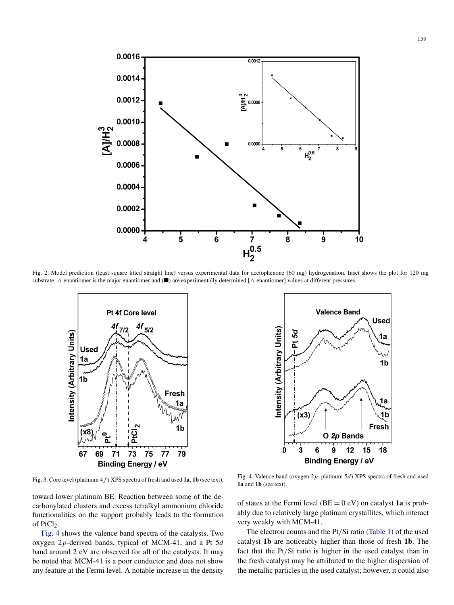<span id="page-5-0"></span>

Fig. 2. Model prediction (least square fitted straight line) versus experimental data for acetophenone (60 mg) hydrogenation. Inset shows the plot for 120 mg substrate. *A*-enantiomer is the major enantiomer and ( $\blacksquare$ ) are experimentally determined [*A*-enantiomer] values at different pressures.



**Valence Band Used** Intensity (Arbitrary Units) Pt 5d 1a  $1<sub>b</sub>$ 1a  $(x3)$ 1b Fresh O 2p Bands  $\overline{6}$  $\dot{9}$  $12$  $15$  $\mathbf 0$ 3 18 **Binding Energy / eV** 

Fig. 3. Core level (platinum 4*f* ) XPS spectra of fresh and used **1a**, **1b** (see text).

toward lower platinum BE. Reaction between some of the decarbonylated clusters and excess tetralkyl ammonium chloride functionalities on the support probably leads to the formation of PtCl<sub>2</sub>.

Fig. 4 shows the valence band spectra of the catalysts. Two oxygen 2*p*-derived bands, typical of MCM-41, and a Pt 5*d* band around 2 eV are observed for all of the catalysts. It may be noted that MCM-41 is a poor conductor and does not show any feature at the Fermi level. A notable increase in the density

Fig. 4. Valence band (oxygen 2*p*, platinum 5*d*) XPS spectra of fresh and used **1a** and **1b** (see text).

of states at the Fermi level  $(BE = 0 eV)$  on catalyst **1a** is probably due to relatively large platinum crystallites, which interact very weakly with MCM-41.

The electron counts and the Pt*/*Si ratio [\(Table 1\)](#page-2-0) of the used catalyst **1b** are noticeably higher than those of fresh **1b**. The fact that the Pt*/*Si ratio is higher in the used catalyst than in the fresh catalyst may be attributed to the higher dispersion of the metallic particles in the used catalyst; however, it could also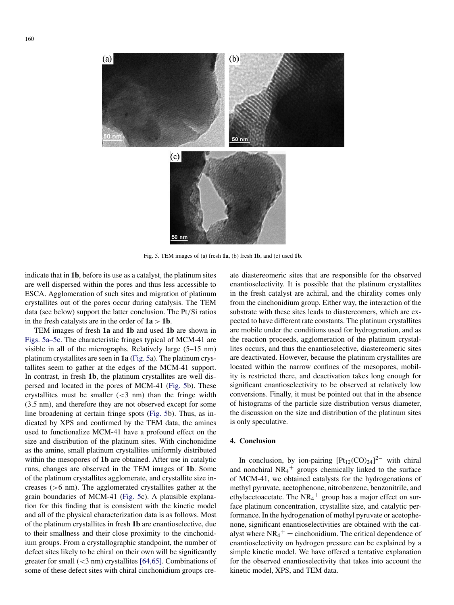

Fig. 5. TEM images of (a) fresh **1a**, (b) fresh **1b**, and (c) used **1b**.

indicate that in **1b**, before its use as a catalyst, the platinum sites are well dispersed within the pores and thus less accessible to ESCA. Agglomeration of such sites and migration of platinum crystallites out of the pores occur during catalysis. The TEM data (see below) support the latter conclusion. The Pt*/*Si ratios in the fresh catalysts are in the order of  $1a > 1b$ .

TEM images of fresh **1a** and **1b** and used **1b** are shown in Figs. 5a–5c. The characteristic fringes typical of MCM-41 are visible in all of the micrographs. Relatively large (5–15 nm) platinum crystallites are seen in **1a** (Fig. 5a). The platinum crystallites seem to gather at the edges of the MCM-41 support. In contrast, in fresh **1b**, the platinum crystallites are well dispersed and located in the pores of MCM-41 (Fig. 5b). These crystallites must be smaller (*<*3 nm) than the fringe width (3.5 nm), and therefore they are not observed except for some line broadening at certain fringe spots (Fig. 5b). Thus, as indicated by XPS and confirmed by the TEM data, the amines used to functionalize MCM-41 have a profound effect on the size and distribution of the platinum sites. With cinchonidine as the amine, small platinum crystallites uniformly distributed within the mesopores of **1b** are obtained. After use in catalytic runs, changes are observed in the TEM images of **1b**. Some of the platinum crystallites agglomerate, and crystallite size increases (*>*6 nm). The agglomerated crystallites gather at the grain boundaries of MCM-41 (Fig. 5c). A plausible explanation for this finding that is consistent with the kinetic model and all of the physical characterization data is as follows. Most of the platinum crystallites in fresh **1b** are enantioselective, due to their smallness and their close proximity to the cinchonidium groups. From a crystallographic standpoint, the number of defect sites likely to be chiral on their own will be significantly greater for small (*<*3 nm) crystallites [\[64,65\].](#page-7-0) Combinations of some of these defect sites with chiral cinchonidium groups create diastereomeric sites that are responsible for the observed enantioselectivity. It is possible that the platinum crystallites in the fresh catalyst are achiral, and the chirality comes only from the cinchonidium group. Either way, the interaction of the substrate with these sites leads to diastereomers, which are expected to have different rate constants. The platinum crystallites are mobile under the conditions used for hydrogenation, and as the reaction proceeds, agglomeration of the platinum crystallites occurs, and thus the enantioselective, diastereomeric sites are deactivated. However, because the platinum crystallites are located within the narrow confines of the mesopores, mobility is restricted there, and deactivation takes long enough for significant enantioselectivity to be observed at relatively low conversions. Finally, it must be pointed out that in the absence of histograms of the particle size distribution versus diameter, the discussion on the size and distribution of the platinum sites is only speculative.

# **4. Conclusion**

In conclusion, by ion-pairing  $[Pt_{12}(CO)_{24}]^{2-}$  with chiral and nonchiral  $NR<sub>4</sub>$ <sup>+</sup> groups chemically linked to the surface of MCM-41, we obtained catalysts for the hydrogenations of methyl pyruvate, acetophenone, nitrobenzene, benzonitrile, and ethylacetoacetate. The  $NR_4$ <sup>+</sup> group has a major effect on surface platinum concentration, crystallite size, and catalytic performance. In the hydrogenation of methyl pyruvate or acetophenone, significant enantioselectivities are obtained with the catalyst where  $NR_4$ <sup>+</sup> = cinchonidium. The critical dependence of enantioselectivity on hydrogen pressure can be explained by a simple kinetic model. We have offered a tentative explanation for the observed enantioselectivity that takes into account the kinetic model, XPS, and TEM data.